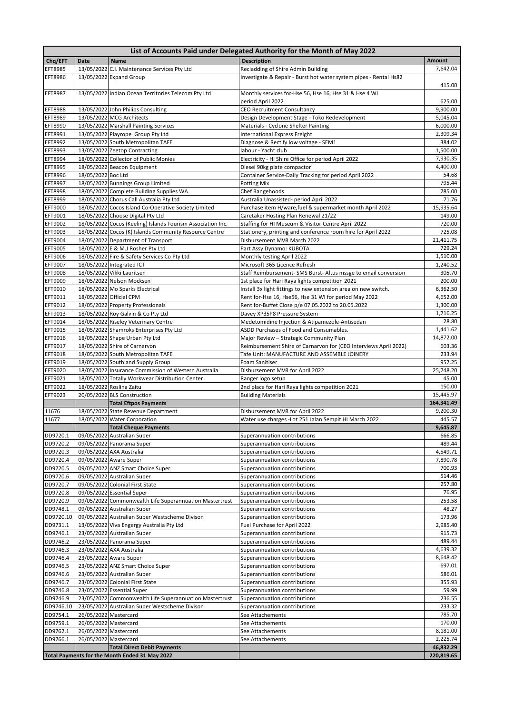| Chg/EFT<br>EFT8985                                                                                                                                                                                                                                         | Date               | <b>Name</b>                                                                                  | List of Accounts Paid under Delegated Authority for the Month of May 2022<br><b>Description</b> |                                                                                                                                                                                                                                                                             |
|------------------------------------------------------------------------------------------------------------------------------------------------------------------------------------------------------------------------------------------------------------|--------------------|----------------------------------------------------------------------------------------------|-------------------------------------------------------------------------------------------------|-----------------------------------------------------------------------------------------------------------------------------------------------------------------------------------------------------------------------------------------------------------------------------|
|                                                                                                                                                                                                                                                            |                    | 13/05/2022 C.I. Maintenance Services Pty Ltd                                                 | Recladding of Shire Admin Building                                                              | <b>Amount</b><br>7,642.04                                                                                                                                                                                                                                                   |
| EFT8986                                                                                                                                                                                                                                                    |                    | 13/05/2022 Expand Group                                                                      | Investigate & Repair - Burst hot water system pipes - Rental Hs82                               |                                                                                                                                                                                                                                                                             |
|                                                                                                                                                                                                                                                            |                    |                                                                                              |                                                                                                 | 415.00                                                                                                                                                                                                                                                                      |
| EFT8987                                                                                                                                                                                                                                                    |                    | 13/05/2022 Indian Ocean Territories Telecom Pty Ltd                                          | Monthly services for-Hse 56, Hse 16, Hse 31 & Hse 4 WI                                          |                                                                                                                                                                                                                                                                             |
|                                                                                                                                                                                                                                                            |                    |                                                                                              | period April 2022                                                                               | 625.00                                                                                                                                                                                                                                                                      |
| EFT8988                                                                                                                                                                                                                                                    |                    | 13/05/2022 John Philips Consulting                                                           | <b>CEO Recruitment Consultancy</b>                                                              | 9,900.00                                                                                                                                                                                                                                                                    |
| EFT8989                                                                                                                                                                                                                                                    |                    | 13/05/2022 MCG Architects                                                                    | Design Development Stage - Toko Redevelopment                                                   | 5,045.04                                                                                                                                                                                                                                                                    |
| EFT8990                                                                                                                                                                                                                                                    |                    | 13/05/2022 Marshall Painting Services                                                        | Materials - Cyclone Shelter Painting                                                            | 6,000.00                                                                                                                                                                                                                                                                    |
| EFT8991                                                                                                                                                                                                                                                    |                    | 13/05/2022 Playrope Group Pty Ltd                                                            | <b>International Express Freight</b>                                                            | 2,309.34                                                                                                                                                                                                                                                                    |
| EFT8992                                                                                                                                                                                                                                                    |                    | 13/05/2022 South Metropolitan TAFE                                                           | Diagnose & Rectify low voltage - SEM1                                                           | 384.02                                                                                                                                                                                                                                                                      |
| EFT8993                                                                                                                                                                                                                                                    |                    | 13/05/2022 Zeetop Contracting                                                                | labour - Yacht club                                                                             | 1,500.00                                                                                                                                                                                                                                                                    |
| EFT8994                                                                                                                                                                                                                                                    |                    | 18/05/2022 Collector of Public Monies                                                        | Electricity - HI Shire Office for period April 2022                                             | 7,930.35                                                                                                                                                                                                                                                                    |
| EFT8995                                                                                                                                                                                                                                                    |                    | 18/05/2022 Beacon Equipment                                                                  | Diesel 90kg plate compactor                                                                     | 4,400.00                                                                                                                                                                                                                                                                    |
| EFT8996                                                                                                                                                                                                                                                    | 18/05/2022 Boc Ltd |                                                                                              | Container Service-Daily Tracking for period April 2022                                          | 54.68                                                                                                                                                                                                                                                                       |
| EFT8997                                                                                                                                                                                                                                                    |                    | 18/05/2022 Bunnings Group Limited                                                            | <b>Potting Mix</b>                                                                              | 795.44                                                                                                                                                                                                                                                                      |
| EFT8998                                                                                                                                                                                                                                                    |                    | 18/05/2022 Complete Building Supplies WA                                                     | Chef Rangehoods                                                                                 | 785.00                                                                                                                                                                                                                                                                      |
| EFT8999                                                                                                                                                                                                                                                    |                    | 18/05/2022 Chorus Call Australia Pty Ltd                                                     | Australia Unassisted- period April 2022                                                         | 71.76                                                                                                                                                                                                                                                                       |
| EFT9000                                                                                                                                                                                                                                                    |                    | 18/05/2022 Cocos Island Co-Operative Society Limited                                         | Purchase item H/ware, fuel & supermarket month April 2022                                       | 15,935.64                                                                                                                                                                                                                                                                   |
| EFT9001                                                                                                                                                                                                                                                    |                    | 18/05/2022 Choose Digital Pty Ltd                                                            | Caretaker Hosting Plan Renewal 21/22                                                            | 149.00<br>720.00                                                                                                                                                                                                                                                            |
| EFT9002                                                                                                                                                                                                                                                    |                    | 18/05/2022 Cocos (Keeling) Islands Tourism Association Inc.                                  | Staffing for HI Museum & Visitor Centre April 2022                                              |                                                                                                                                                                                                                                                                             |
| EFT9003<br>EFT9004                                                                                                                                                                                                                                         |                    | 18/05/2022 Cocos (K) Islands Community Resource Centre<br>18/05/2022 Department of Transport | Stationery, printing and conference room hire for April 2022<br>Disbursement MVR March 2022     | 725.08<br>21,411.75                                                                                                                                                                                                                                                         |
| EFT9005                                                                                                                                                                                                                                                    |                    | 18/05/2022 E & M.J Rosher Pty Ltd                                                            | Part Assy Dynamo: KUBOTA                                                                        | 729.24                                                                                                                                                                                                                                                                      |
| EFT9006                                                                                                                                                                                                                                                    |                    | 18/05/2022 Fire & Safety Services Co Pty Ltd                                                 | Monthly testing April 2022                                                                      | 1,510.00                                                                                                                                                                                                                                                                    |
| EFT9007                                                                                                                                                                                                                                                    |                    | 18/05/2022 Integrated ICT                                                                    | Microsoft 365 Licence Refresh                                                                   | 1,240.52                                                                                                                                                                                                                                                                    |
| EFT9008                                                                                                                                                                                                                                                    |                    | 18/05/2022 Vikki Lauritsen                                                                   | Staff Reimbursement- SMS Burst- Altus mssge to email conversion                                 | 305.70                                                                                                                                                                                                                                                                      |
| EFT9009                                                                                                                                                                                                                                                    |                    | 18/05/2022 Nelson Mocksen                                                                    | 1st place for Hari Raya lights competition 2021                                                 | 200.00                                                                                                                                                                                                                                                                      |
| EFT9010                                                                                                                                                                                                                                                    |                    | 18/05/2022 Mo Sparks Electrical                                                              | Install 3x light fittings to new extension area on new switch.                                  | 6,362.50                                                                                                                                                                                                                                                                    |
| EFT9011                                                                                                                                                                                                                                                    |                    | 18/05/2022 Official CPM                                                                      | Rent for-Hse 16, Hse56, Hse 31 WI for period May 2022                                           | 4,652.00                                                                                                                                                                                                                                                                    |
| EFT9012                                                                                                                                                                                                                                                    |                    | 18/05/2022 Property Professionals                                                            | Rent for-Buffet Close p/e 07.05.2022 to 20.05.2022                                              | 1,300.00                                                                                                                                                                                                                                                                    |
| EFT9013                                                                                                                                                                                                                                                    |                    | 18/05/2022 Roy Galvin & Co Pty Ltd                                                           | Davey XP35P8 Pressure System                                                                    | 1,716.25                                                                                                                                                                                                                                                                    |
| EFT9014                                                                                                                                                                                                                                                    |                    | 18/05/2022 Riseley Veterinary Centre                                                         | Medetomidine Injection & Atipamezole-Antisedan                                                  | 28.80                                                                                                                                                                                                                                                                       |
| EFT9015                                                                                                                                                                                                                                                    |                    | 18/05/2022 Shamroks Enterprises Pty Ltd                                                      | ASDD Purchases of Food and Consumables.                                                         | 1,441.62                                                                                                                                                                                                                                                                    |
| EFT9016                                                                                                                                                                                                                                                    |                    | 18/05/2022 Shape Urban Pty Ltd                                                               | Major Review - Strategic Community Plan                                                         | 14,872.00                                                                                                                                                                                                                                                                   |
| EFT9017                                                                                                                                                                                                                                                    |                    | 18/05/2022 Shire of Carnarvon                                                                | Reimbursement Shire of Carnarvon for (CEO Interviews April 2022)                                | 603.36                                                                                                                                                                                                                                                                      |
| EFT9018                                                                                                                                                                                                                                                    |                    | 18/05/2022 South Metropolitan TAFE                                                           | Tafe Unit: MANUFACTURE AND ASSEMBLE JOINERY                                                     | 233.94                                                                                                                                                                                                                                                                      |
| EFT9019                                                                                                                                                                                                                                                    |                    | 18/05/2022 Southland Supply Group                                                            | Foam Sanitiser                                                                                  | 957.25                                                                                                                                                                                                                                                                      |
| EFT9020                                                                                                                                                                                                                                                    |                    | 18/05/2022 Insurance Commission of Western Australia                                         | Disbursement MVR for April 2022                                                                 | 25,748.20                                                                                                                                                                                                                                                                   |
|                                                                                                                                                                                                                                                            |                    | 18/05/2022 Totally Workwear Distribution Center                                              | Ranger logo setup                                                                               | 45.00                                                                                                                                                                                                                                                                       |
|                                                                                                                                                                                                                                                            |                    |                                                                                              |                                                                                                 |                                                                                                                                                                                                                                                                             |
|                                                                                                                                                                                                                                                            |                    | 18/05/2022 Roslina Zaitu                                                                     | 2nd place for Hari Raya lights competition 2021                                                 | 150.00                                                                                                                                                                                                                                                                      |
| EFT9021<br>EFT9022<br>EFT9023                                                                                                                                                                                                                              |                    | 20/05/2022 BLS Construction                                                                  | <b>Building Materials</b>                                                                       | 15,445.97                                                                                                                                                                                                                                                                   |
|                                                                                                                                                                                                                                                            |                    | <b>Total Eftpos Payments</b>                                                                 |                                                                                                 | 164,341.49                                                                                                                                                                                                                                                                  |
|                                                                                                                                                                                                                                                            |                    | 18/05/2022 State Revenue Department                                                          | Disbursement MVR for April 2022                                                                 |                                                                                                                                                                                                                                                                             |
|                                                                                                                                                                                                                                                            |                    | 18/05/2022 Water Corporation                                                                 | Water use charges - Lot 251 Jalan Sempit HI March 2022                                          |                                                                                                                                                                                                                                                                             |
|                                                                                                                                                                                                                                                            |                    | <b>Total Cheque Payments</b>                                                                 |                                                                                                 |                                                                                                                                                                                                                                                                             |
|                                                                                                                                                                                                                                                            |                    | 09/05/2022 Australian Super                                                                  | Superannuation contributions                                                                    |                                                                                                                                                                                                                                                                             |
| 11676<br>11677<br>DD9720.1<br>DD9720.2                                                                                                                                                                                                                     |                    | 09/05/2022 Panorama Super                                                                    | Superannuation contributions                                                                    |                                                                                                                                                                                                                                                                             |
|                                                                                                                                                                                                                                                            |                    | 09/05/2022 AXA Australia                                                                     | Superannuation contributions                                                                    |                                                                                                                                                                                                                                                                             |
|                                                                                                                                                                                                                                                            |                    | 09/05/2022 Aware Super<br>09/05/2022 ANZ Smart Choice Super                                  | Superannuation contributions<br>Superannuation contributions                                    |                                                                                                                                                                                                                                                                             |
|                                                                                                                                                                                                                                                            |                    | 09/05/2022 Australian Super                                                                  | Superannuation contributions                                                                    |                                                                                                                                                                                                                                                                             |
|                                                                                                                                                                                                                                                            |                    | 09/05/2022 Colonial First State                                                              | Superannuation contributions                                                                    |                                                                                                                                                                                                                                                                             |
|                                                                                                                                                                                                                                                            |                    | 09/05/2022 Essential Super                                                                   | Superannuation contributions                                                                    |                                                                                                                                                                                                                                                                             |
|                                                                                                                                                                                                                                                            |                    | 09/05/2022 Commonwealth Life Superannuation Mastertrust                                      | Superannuation contributions                                                                    |                                                                                                                                                                                                                                                                             |
|                                                                                                                                                                                                                                                            |                    | 09/05/2022 Australian Super                                                                  | Superannuation contributions                                                                    |                                                                                                                                                                                                                                                                             |
|                                                                                                                                                                                                                                                            |                    | 09/05/2022 Australian Super Westscheme Divison                                               | Superannuation contributions                                                                    |                                                                                                                                                                                                                                                                             |
|                                                                                                                                                                                                                                                            |                    | 13/05/2022 Viva Engergy Australia Pty Ltd                                                    | Fuel Purchase for April 2022                                                                    |                                                                                                                                                                                                                                                                             |
|                                                                                                                                                                                                                                                            |                    | 23/05/2022 Australian Super                                                                  | Superannuation contributions                                                                    |                                                                                                                                                                                                                                                                             |
|                                                                                                                                                                                                                                                            |                    | 23/05/2022 Panorama Super                                                                    | Superannuation contributions                                                                    |                                                                                                                                                                                                                                                                             |
|                                                                                                                                                                                                                                                            |                    | 23/05/2022 AXA Australia                                                                     | Superannuation contributions                                                                    |                                                                                                                                                                                                                                                                             |
|                                                                                                                                                                                                                                                            |                    | 23/05/2022 Aware Super                                                                       | Superannuation contributions                                                                    |                                                                                                                                                                                                                                                                             |
|                                                                                                                                                                                                                                                            |                    | 23/05/2022 ANZ Smart Choice Super                                                            | Superannuation contributions                                                                    |                                                                                                                                                                                                                                                                             |
|                                                                                                                                                                                                                                                            |                    | 23/05/2022 Australian Super                                                                  | Superannuation contributions                                                                    |                                                                                                                                                                                                                                                                             |
|                                                                                                                                                                                                                                                            |                    | 23/05/2022 Colonial First State                                                              | Superannuation contributions                                                                    |                                                                                                                                                                                                                                                                             |
|                                                                                                                                                                                                                                                            |                    | 23/05/2022 Essential Super                                                                   | Superannuation contributions                                                                    |                                                                                                                                                                                                                                                                             |
|                                                                                                                                                                                                                                                            |                    | 23/05/2022 Commonwealth Life Superannuation Mastertrust                                      | Superannuation contributions                                                                    |                                                                                                                                                                                                                                                                             |
|                                                                                                                                                                                                                                                            |                    | 23/05/2022 Australian Super Westscheme Divison                                               | Superannuation contributions                                                                    |                                                                                                                                                                                                                                                                             |
| DD9720.3<br>DD9720.4<br>DD9720.5<br>DD9720.6<br>DD9720.7<br>DD9720.8<br>DD9720.9<br>DD9748.1<br>DD9720.10<br>DD9731.1<br>DD9746.1<br>DD9746.2<br>DD9746.3<br>DD9746.4<br>DD9746.5<br>DD9746.6<br>DD9746.7<br>DD9746.8<br>DD9746.9<br>DD9746.10<br>DD9754.1 |                    | 26/05/2022 Mastercard                                                                        | See Attachements                                                                                | 9,200.30<br>445.57<br>9,645.87<br>666.85<br>489.44<br>4,549.71<br>7,890.78<br>700.93<br>514.46<br>257.80<br>76.95<br>253.58<br>48.27<br>173.96<br>2,985.40<br>915.73<br>489.44<br>4,639.32<br>8,648.42<br>697.01<br>586.01<br>355.93<br>59.99<br>236.55<br>233.32<br>785.70 |
| DD9759.1                                                                                                                                                                                                                                                   |                    | 26/05/2022 Mastercard                                                                        | See Attachements                                                                                | 170.00                                                                                                                                                                                                                                                                      |
| DD9762.1<br>DD9766.1                                                                                                                                                                                                                                       |                    | 26/05/2022 Mastercard<br>26/05/2022 Mastercard                                               | See Attachements<br>See Attachements                                                            | 8,181.00<br>2,225.74                                                                                                                                                                                                                                                        |